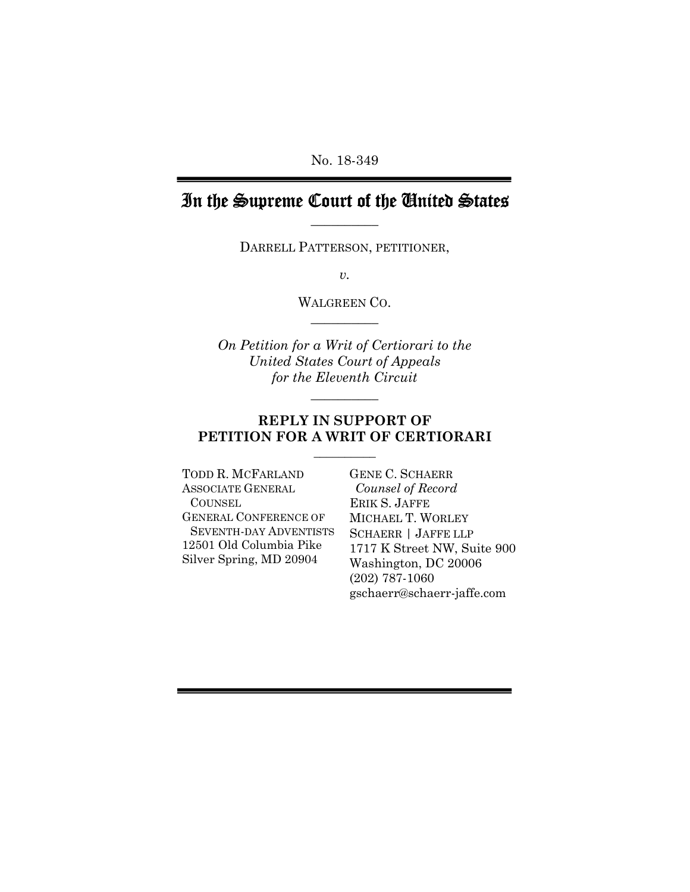No. 18-349

# In the Supreme Court of the United States  $\frac{1}{2}$

DARRELL PATTERSON, PETITIONER,

 $\overline{v}$ .

WALGREEN CO.  $\overline{\phantom{a}}$  , where  $\overline{\phantom{a}}$ 

On Petition for a Writ of Certiorari to the United States Court of Appeals for the Eleventh Circuit

 $\overline{\phantom{a}}$  , where  $\overline{\phantom{a}}$ 

### REPLY IN SUPPORT OF PETITION FOR A WRIT OF CERTIORARI

TODD R. MCFARLAND GENE C. SCHAERR ASSOCIATE GENERAL **COUNSEL** GENERAL CONFERENCE OF SEVENTH-DAY ADVENTISTS 12501 Old Columbia Pike Silver Spring, MD 20904

 $\frac{1}{2}$  , and the set of the set of the set of the set of the set of the set of the set of the set of the set of the set of the set of the set of the set of the set of the set of the set of the set of the set of the set

 Counsel of Record ERIK S. JAFFE MICHAEL T. WORLEY SCHAERR | JAFFE LLP 1717 K Street NW, Suite 900 Washington, DC 20006 (202) 787-1060 gschaerr@schaerr-jaffe.com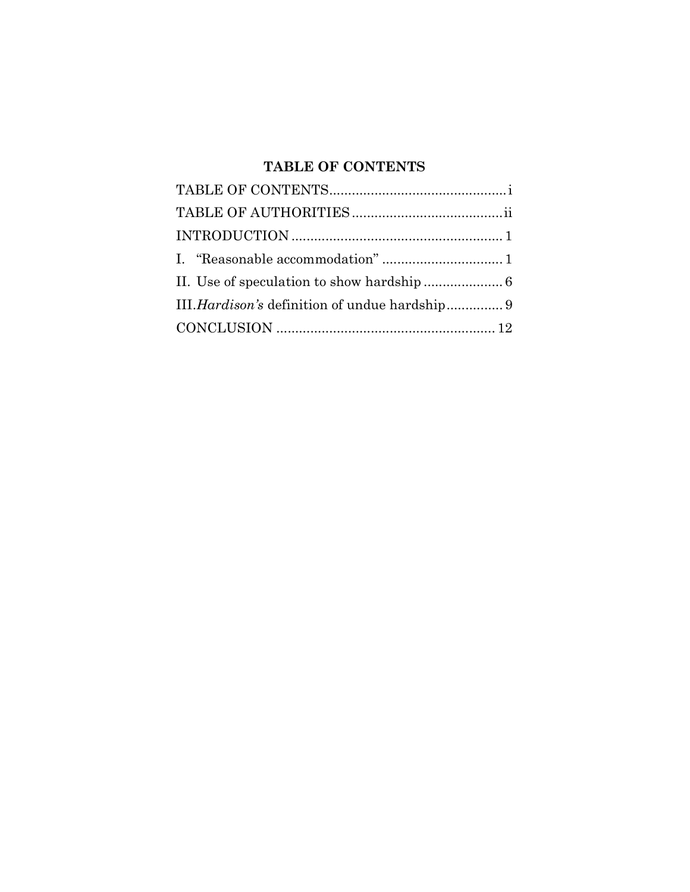# TABLE OF CONTENTS

| III. Hardison's definition of undue hardship 9 |
|------------------------------------------------|
|                                                |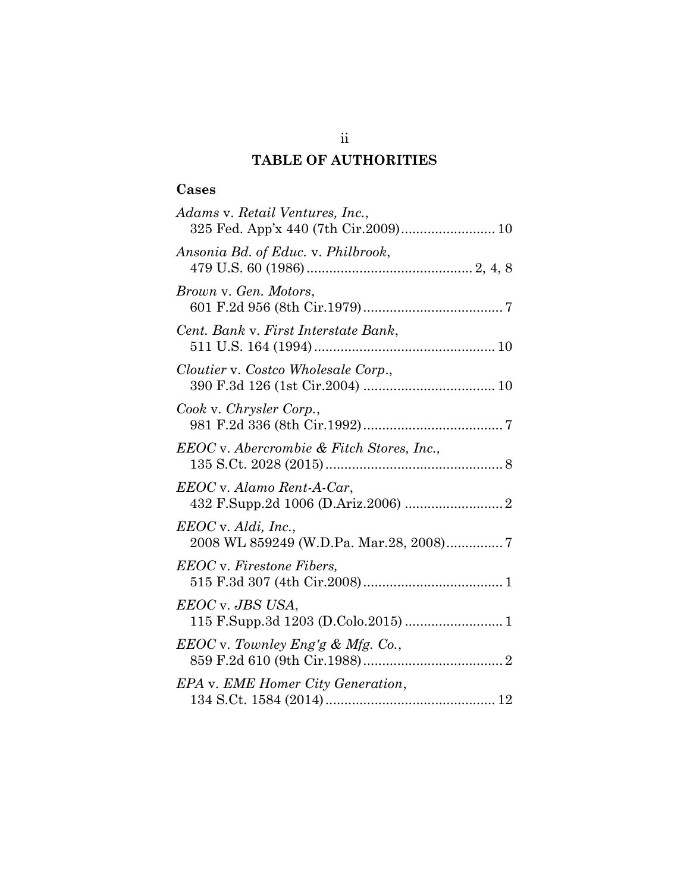# TABLE OF AUTHORITIES

## Cases

| Adams v. Retail Ventures, Inc.,<br>325 Fed. App'x 440 (7th Cir.2009) 10 |
|-------------------------------------------------------------------------|
| Ansonia Bd. of Educ. v. Philbrook,                                      |
| Brown v. Gen. Motors,                                                   |
| Cent. Bank v. First Interstate Bank,                                    |
| Cloutier v. Costco Wholesale Corp.,                                     |
| Cook v. Chrysler Corp.,                                                 |
| EEOC v. Abercrombie & Fitch Stores, Inc.,                               |
| EEOC v. Alamo Rent-A-Car,                                               |
| $EEOC$ v. Aldi, Inc.,<br>2008 WL 859249 (W.D.Pa. Mar.28, 2008)7         |
| <b>EEOC</b> v. Firestone Fibers,                                        |
| EEOC v. JBS USA,                                                        |
| $EEOC$ v. Townley Eng'g & Mfg. Co.,                                     |
| EPA v. EME Homer City Generation,                                       |

ii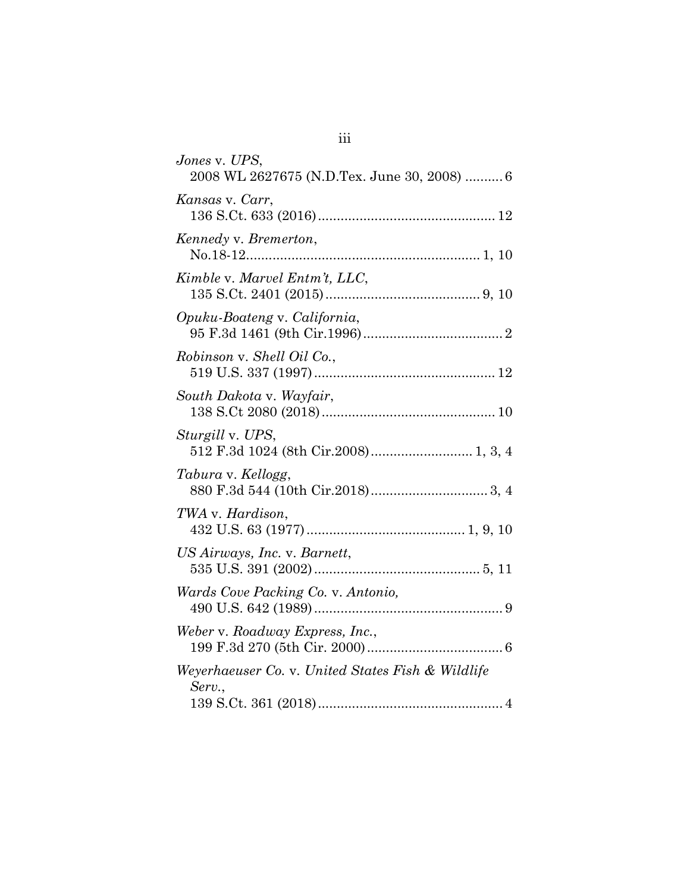| Jones v. UPS,<br>2008 WL 2627675 (N.D.Tex. June 30, 2008)  6 |
|--------------------------------------------------------------|
| Kansas v. Carr,                                              |
| Kennedy v. Bremerton,                                        |
| Kimble v. Marvel Entm't, LLC,                                |
| Opuku-Boateng v. California,                                 |
| Robinson v. Shell Oil Co.,                                   |
| South Dakota v. Wayfair,                                     |
| <i>Sturgill</i> v. UPS,                                      |
| Tabura v. Kellogg,                                           |
| TWA v. Hardison,                                             |
| US Airways, Inc. v. Barnett,                                 |
| Wards Cove Packing Co. v. Antonio,                           |
| Weber v. Roadway Express, Inc.,                              |
| Weyerhaeuser Co. v. United States Fish & Wildlife<br>Serv.,  |

iii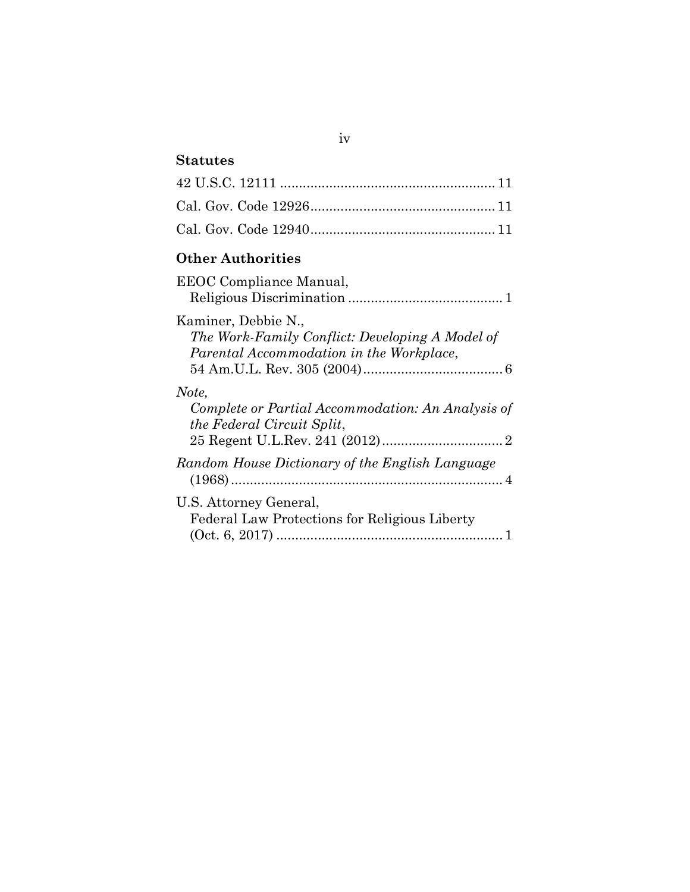## Statutes

## Other Authorities

| EEOC Compliance Manual,                                                                                            |
|--------------------------------------------------------------------------------------------------------------------|
| Kaminer, Debbie N.,<br>The Work-Family Conflict: Developing A Model of<br>Parental Accommodation in the Workplace, |
| Note,<br>Complete or Partial Accommodation: An Analysis of<br><i>the Federal Circuit Split,</i>                    |
| Random House Dictionary of the English Language                                                                    |
| U.S. Attorney General,<br>Federal Law Protections for Religious Liberty                                            |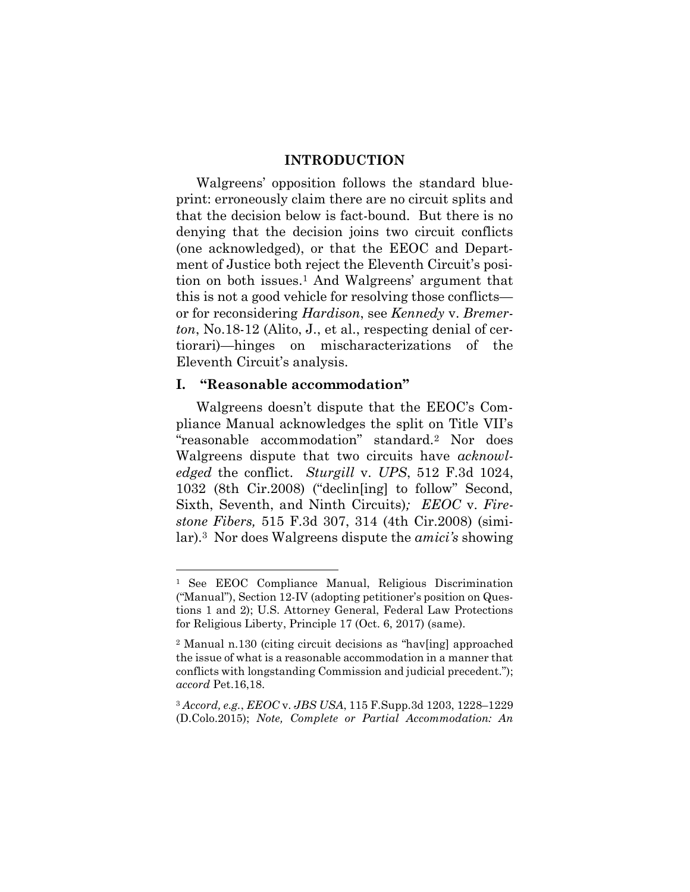### INTRODUCTION

Walgreens' opposition follows the standard blueprint: erroneously claim there are no circuit splits and that the decision below is fact-bound. But there is no denying that the decision joins two circuit conflicts (one acknowledged), or that the EEOC and Department of Justice both reject the Eleventh Circuit's position on both issues.1 And Walgreens' argument that this is not a good vehicle for resolving those conflicts or for reconsidering Hardison, see Kennedy v. Bremerton, No.18-12 (Alito, J., et al., respecting denial of certiorari)—hinges on mischaracterizations of the Eleventh Circuit's analysis.

### I. "Reasonable accommodation"

-

Walgreens doesn't dispute that the EEOC's Compliance Manual acknowledges the split on Title VII's "reasonable accommodation" standard.2 Nor does Walgreens dispute that two circuits have acknowledged the conflict. Sturgill v. UPS, 512 F.3d 1024, 1032 (8th Cir.2008) ("declin[ing] to follow" Second, Sixth, Seventh, and Ninth Circuits); *EEOC* v. Firestone Fibers, 515 F.3d 307, 314 (4th Cir.2008) (similar).3 Nor does Walgreens dispute the amici's showing

<sup>1</sup> See EEOC Compliance Manual, Religious Discrimination ("Manual"), Section 12-IV (adopting petitioner's position on Questions 1 and 2); U.S. Attorney General, Federal Law Protections for Religious Liberty, Principle 17 (Oct. 6, 2017) (same).

<sup>2</sup> Manual n.130 (citing circuit decisions as "hav[ing] approached the issue of what is a reasonable accommodation in a manner that conflicts with longstanding Commission and judicial precedent."); accord Pet.16,18.

<sup>3</sup> Accord, e.g., EEOC v. JBS USA, 115 F.Supp.3d 1203, 1228–1229 (D.Colo.2015); Note, Complete or Partial Accommodation: An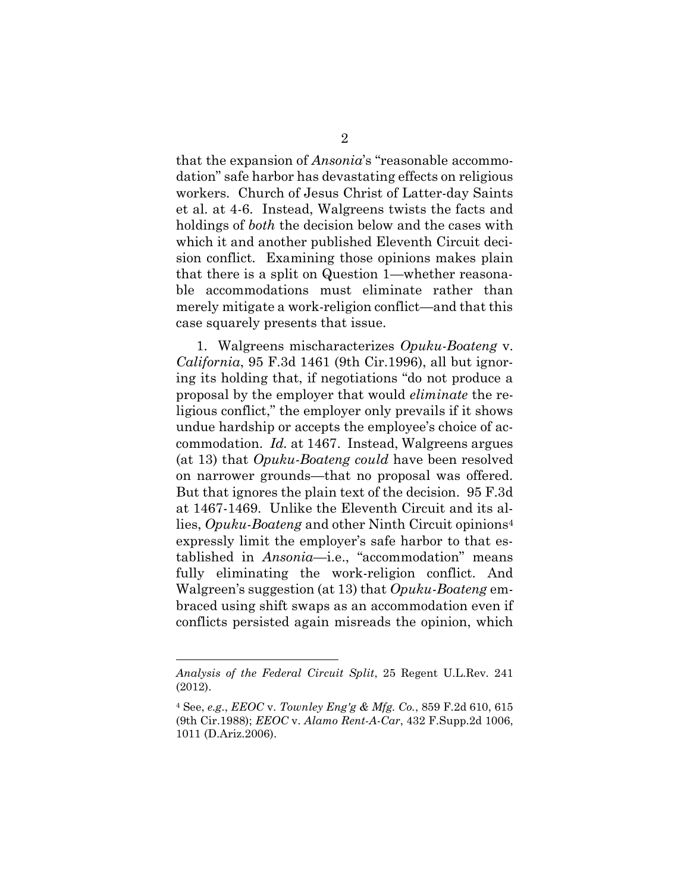that the expansion of *Ansonia*'s "reasonable accommodation" safe harbor has devastating effects on religious workers. Church of Jesus Christ of Latter-day Saints et al. at 4-6. Instead, Walgreens twists the facts and holdings of both the decision below and the cases with which it and another published Eleventh Circuit decision conflict. Examining those opinions makes plain that there is a split on Question 1—whether reasonable accommodations must eliminate rather than merely mitigate a work-religion conflict—and that this case squarely presents that issue.

1. Walgreens mischaracterizes Opuku-Boateng v.  $California$ , 95 F.3d 1461 (9th Cir.1996), all but ignoring its holding that, if negotiations "do not produce a proposal by the employer that would eliminate the religious conflict," the employer only prevails if it shows undue hardship or accepts the employee's choice of accommodation. Id. at 1467. Instead, Walgreens argues (at 13) that Opuku-Boateng could have been resolved on narrower grounds—that no proposal was offered. But that ignores the plain text of the decision. 95 F.3d at 1467-1469. Unlike the Eleventh Circuit and its allies, Opuku-Boateng and other Ninth Circuit opinions<sup>4</sup> expressly limit the employer's safe harbor to that established in Ansonia—i.e., "accommodation" means fully eliminating the work-religion conflict. And Walgreen's suggestion (at 13) that Opuku-Boateng embraced using shift swaps as an accommodation even if conflicts persisted again misreads the opinion, which

Analysis of the Federal Circuit Split, 25 Regent U.L.Rev. 241 (2012).

 $4$  See, e.g., *EEOC* v. Townley *Eng'g & Mfg.* Co., 859 F.2d 610, 615 (9th Cir.1988); EEOC v. Alamo Rent-A-Car, 432 F.Supp.2d 1006, 1011 (D.Ariz.2006).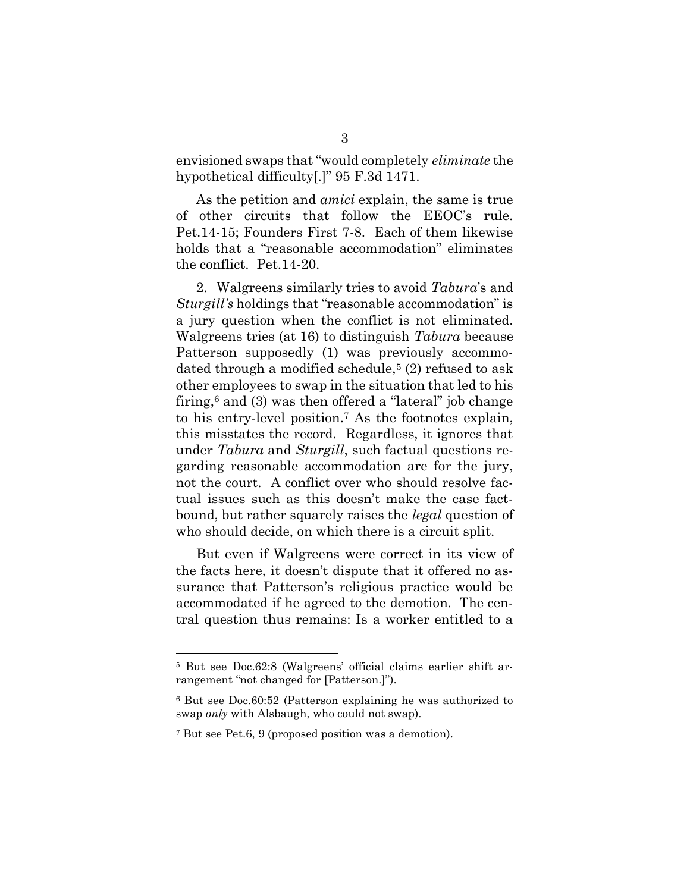envisioned swaps that "would completely eliminate the hypothetical difficulty[.]" 95 F.3d 1471.

 As the petition and amici explain, the same is true of other circuits that follow the EEOC's rule. Pet.14-15; Founders First 7-8. Each of them likewise holds that a "reasonable accommodation" eliminates the conflict. Pet.14-20.

 2. Walgreens similarly tries to avoid Tabura's and Sturgill's holdings that "reasonable accommodation" is a jury question when the conflict is not eliminated. Walgreens tries (at 16) to distinguish Tabura because Patterson supposedly (1) was previously accommodated through a modified schedule,<sup>5</sup> (2) refused to ask other employees to swap in the situation that led to his firing,<sup>6</sup> and (3) was then offered a "lateral" job change to his entry-level position.7 As the footnotes explain, this misstates the record. Regardless, it ignores that under Tabura and Sturgill, such factual questions regarding reasonable accommodation are for the jury, not the court. A conflict over who should resolve factual issues such as this doesn't make the case factbound, but rather squarely raises the legal question of who should decide, on which there is a circuit split.

 But even if Walgreens were correct in its view of the facts here, it doesn't dispute that it offered no assurance that Patterson's religious practice would be accommodated if he agreed to the demotion. The central question thus remains: Is a worker entitled to a

<sup>5</sup> But see Doc.62:8 (Walgreens' official claims earlier shift arrangement "not changed for [Patterson.]").

<sup>6</sup> But see Doc.60:52 (Patterson explaining he was authorized to swap only with Alsbaugh, who could not swap).

<sup>7</sup> But see Pet.6, 9 (proposed position was a demotion).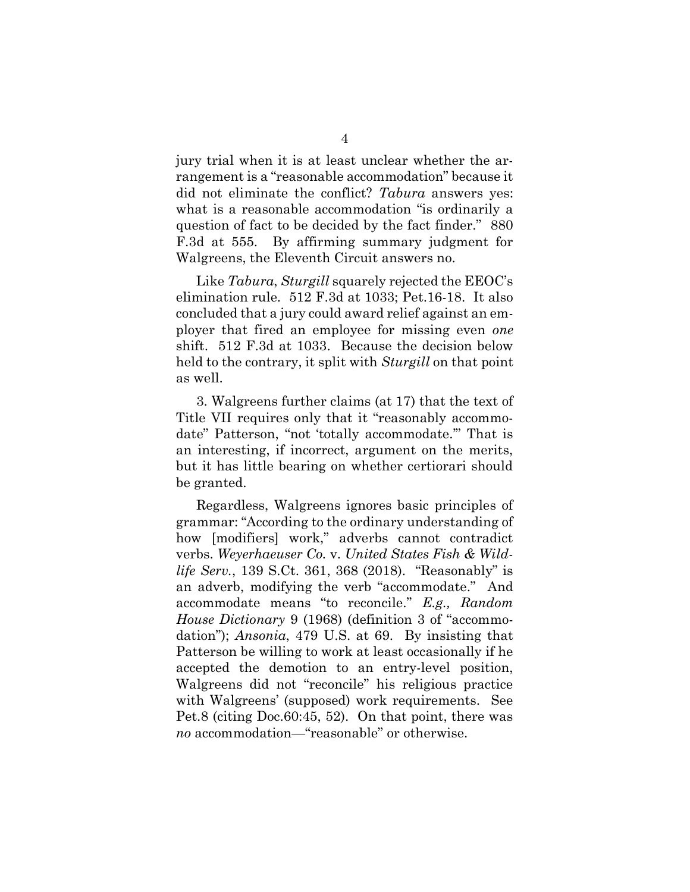jury trial when it is at least unclear whether the arrangement is a "reasonable accommodation" because it did not eliminate the conflict? Tabura answers yes: what is a reasonable accommodation "is ordinarily a question of fact to be decided by the fact finder." 880 F.3d at 555. By affirming summary judgment for Walgreens, the Eleventh Circuit answers no.

Like Tabura, Sturgill squarely rejected the EEOC's elimination rule. 512 F.3d at 1033; Pet.16-18. It also concluded that a jury could award relief against an employer that fired an employee for missing even one shift. 512 F.3d at 1033. Because the decision below held to the contrary, it split with *Sturgill* on that point as well.

3. Walgreens further claims (at 17) that the text of Title VII requires only that it "reasonably accommodate" Patterson, "not 'totally accommodate.'" That is an interesting, if incorrect, argument on the merits, but it has little bearing on whether certiorari should be granted.

Regardless, Walgreens ignores basic principles of grammar: "According to the ordinary understanding of how [modifiers] work," adverbs cannot contradict verbs. Weyerhaeuser Co. v. United States Fish & Wildlife Serv., 139 S.Ct. 361, 368 (2018). "Reasonably" is an adverb, modifying the verb "accommodate." And accommodate means "to reconcile." E.g., Random House Dictionary 9 (1968) (definition 3 of "accommodation"); Ansonia, 479 U.S. at 69. By insisting that Patterson be willing to work at least occasionally if he accepted the demotion to an entry-level position, Walgreens did not "reconcile" his religious practice with Walgreens' (supposed) work requirements. See Pet.8 (citing Doc.60:45, 52). On that point, there was no accommodation—"reasonable" or otherwise.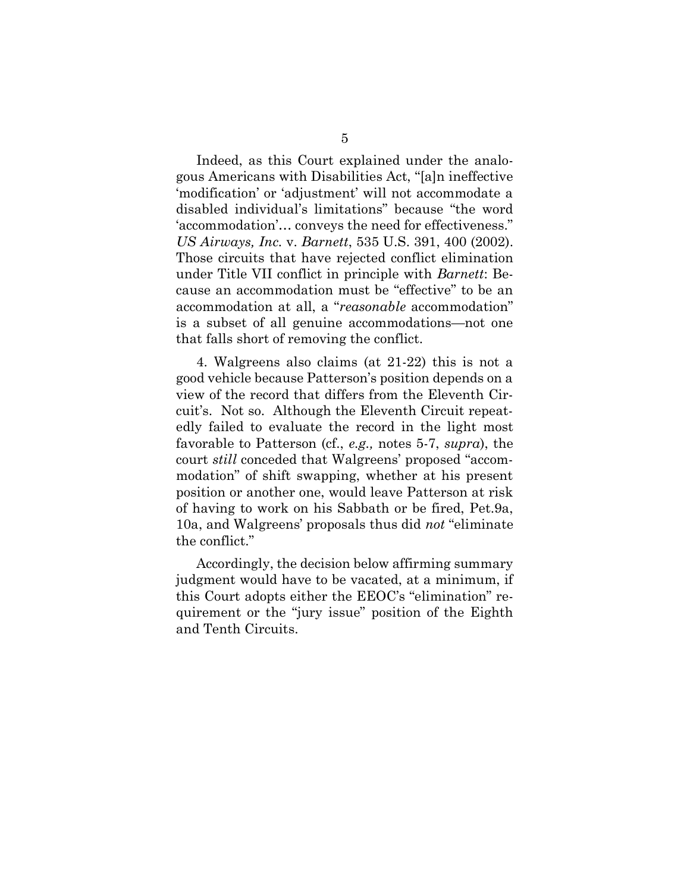Indeed, as this Court explained under the analogous Americans with Disabilities Act, "[a]n ineffective 'modification' or 'adjustment' will not accommodate a disabled individual's limitations" because "the word 'accommodation'… conveys the need for effectiveness." US Airways, Inc. v. Barnett, 535 U.S. 391, 400 (2002). Those circuits that have rejected conflict elimination under Title VII conflict in principle with Barnett: Because an accommodation must be "effective" to be an accommodation at all, a "reasonable accommodation" is a subset of all genuine accommodations—not one that falls short of removing the conflict.

4. Walgreens also claims (at 21-22) this is not a good vehicle because Patterson's position depends on a view of the record that differs from the Eleventh Circuit's. Not so. Although the Eleventh Circuit repeatedly failed to evaluate the record in the light most favorable to Patterson (cf., e.g., notes 5-7, supra), the court still conceded that Walgreens' proposed "accommodation" of shift swapping, whether at his present position or another one, would leave Patterson at risk of having to work on his Sabbath or be fired, Pet.9a, 10a, and Walgreens' proposals thus did not "eliminate the conflict."

Accordingly, the decision below affirming summary judgment would have to be vacated, at a minimum, if this Court adopts either the EEOC's "elimination" requirement or the "jury issue" position of the Eighth and Tenth Circuits.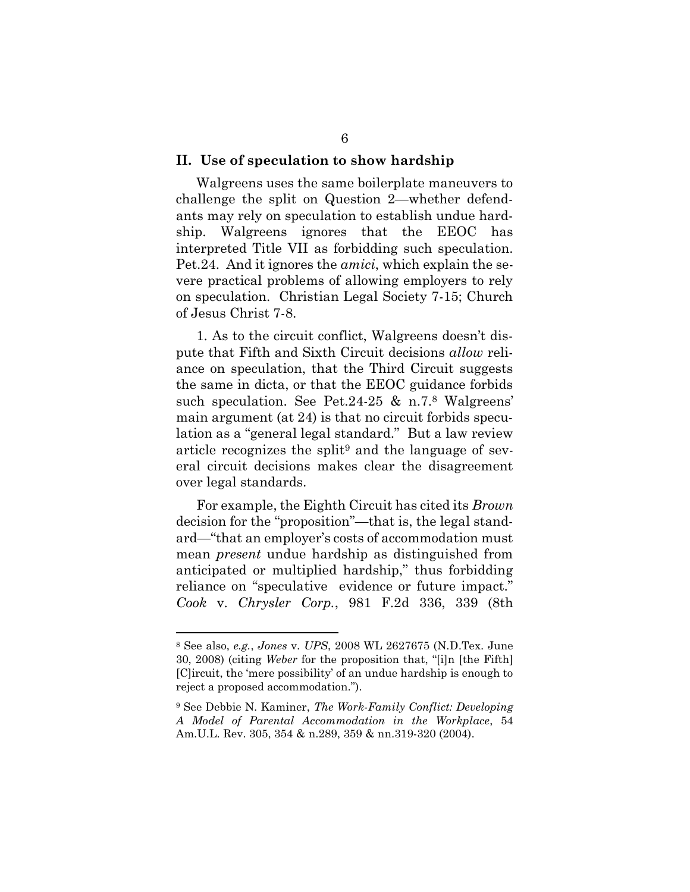#### II. Use of speculation to show hardship

Walgreens uses the same boilerplate maneuvers to challenge the split on Question 2—whether defendants may rely on speculation to establish undue hardship. Walgreens ignores that the EEOC has interpreted Title VII as forbidding such speculation. Pet.24. And it ignores the amici, which explain the severe practical problems of allowing employers to rely on speculation. Christian Legal Society 7-15; Church of Jesus Christ 7-8.

1. As to the circuit conflict, Walgreens doesn't dispute that Fifth and Sixth Circuit decisions allow reliance on speculation, that the Third Circuit suggests the same in dicta, or that the EEOC guidance forbids such speculation. See Pet.24-25 & n.7.8 Walgreens' main argument (at 24) is that no circuit forbids speculation as a "general legal standard." But a law review article recognizes the split9 and the language of several circuit decisions makes clear the disagreement over legal standards.

For example, the Eighth Circuit has cited its Brown decision for the "proposition"—that is, the legal standard—"that an employer's costs of accommodation must mean present undue hardship as distinguished from anticipated or multiplied hardship," thus forbidding reliance on "speculative evidence or future impact." Cook v. Chrysler Corp., 981 F.2d 336, 339 (8th

<sup>8</sup> See also, e.g., Jones v. UPS, 2008 WL 2627675 (N.D.Tex. June 30, 2008) (citing Weber for the proposition that, "[i]n [the Fifth] [C]ircuit, the 'mere possibility' of an undue hardship is enough to reject a proposed accommodation.").

<sup>9</sup> See Debbie N. Kaminer, The Work-Family Conflict: Developing A Model of Parental Accommodation in the Workplace, 54 Am.U.L. Rev. 305, 354 & n.289, 359 & nn.319-320 (2004).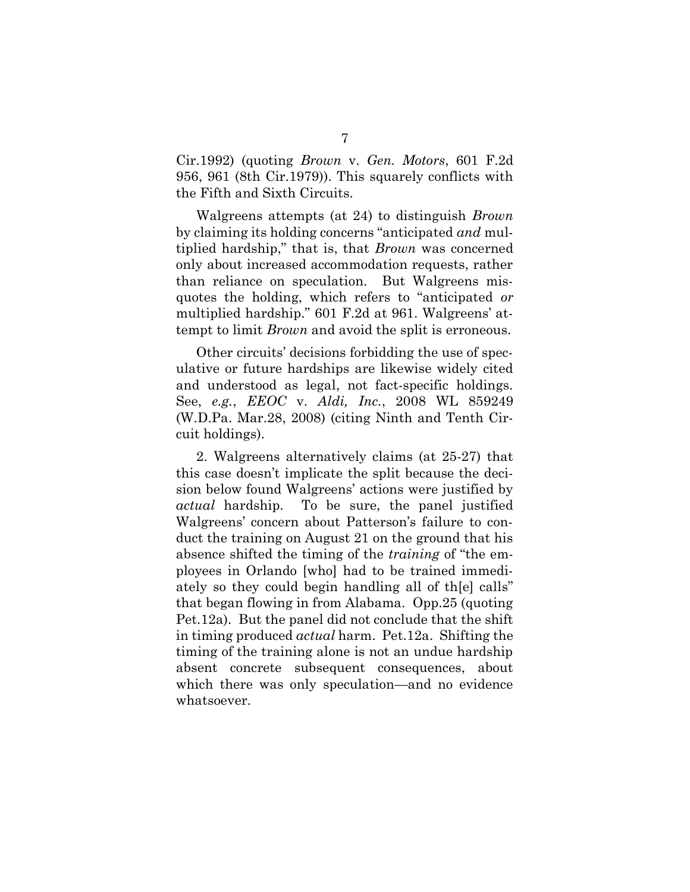Cir.1992) (quoting Brown v. Gen. Motors, 601 F.2d 956, 961 (8th Cir.1979)). This squarely conflicts with the Fifth and Sixth Circuits.

Walgreens attempts (at 24) to distinguish Brown by claiming its holding concerns "anticipated and multiplied hardship," that is, that Brown was concerned only about increased accommodation requests, rather than reliance on speculation. But Walgreens misquotes the holding, which refers to "anticipated or multiplied hardship." 601 F.2d at 961. Walgreens' attempt to limit *Brown* and avoid the split is erroneous.

Other circuits' decisions forbidding the use of speculative or future hardships are likewise widely cited and understood as legal, not fact-specific holdings. See, e.g., EEOC v. Aldi, Inc., 2008 WL 859249 (W.D.Pa. Mar.28, 2008) (citing Ninth and Tenth Circuit holdings).

2. Walgreens alternatively claims (at 25-27) that this case doesn't implicate the split because the decision below found Walgreens' actions were justified by actual hardship. To be sure, the panel justified Walgreens' concern about Patterson's failure to conduct the training on August 21 on the ground that his absence shifted the timing of the training of "the employees in Orlando [who] had to be trained immediately so they could begin handling all of th[e] calls" that began flowing in from Alabama. Opp.25 (quoting Pet.12a). But the panel did not conclude that the shift in timing produced actual harm. Pet.12a. Shifting the timing of the training alone is not an undue hardship absent concrete subsequent consequences, about which there was only speculation—and no evidence whatsoever.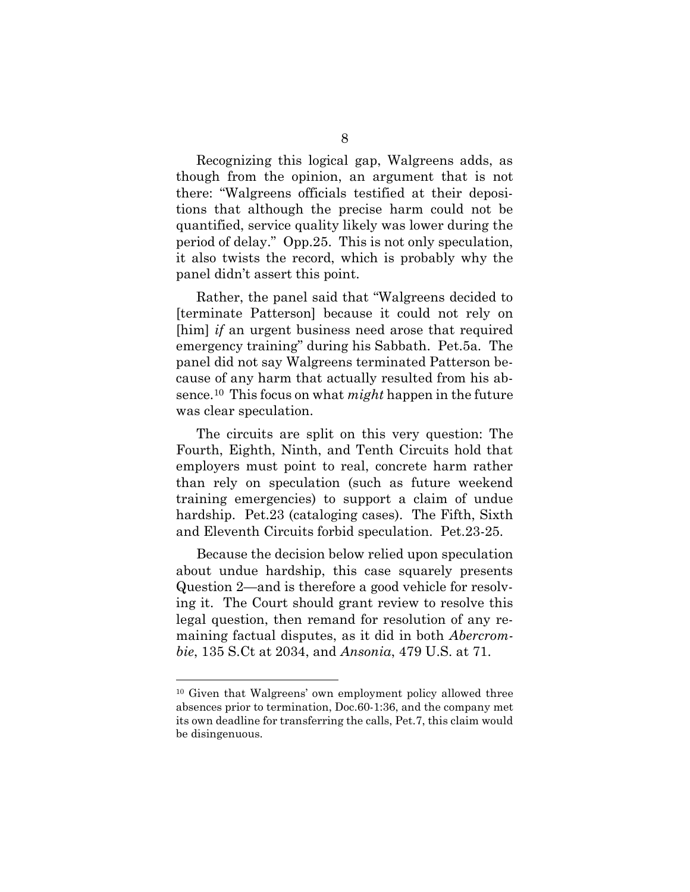Recognizing this logical gap, Walgreens adds, as though from the opinion, an argument that is not there: "Walgreens officials testified at their depositions that although the precise harm could not be quantified, service quality likely was lower during the period of delay." Opp.25. This is not only speculation, it also twists the record, which is probably why the panel didn't assert this point.

Rather, the panel said that "Walgreens decided to [terminate Patterson] because it could not rely on [him] *if* an urgent business need arose that required emergency training" during his Sabbath. Pet.5a. The panel did not say Walgreens terminated Patterson because of any harm that actually resulted from his absence.<sup>10</sup> This focus on what *might* happen in the future was clear speculation.

The circuits are split on this very question: The Fourth, Eighth, Ninth, and Tenth Circuits hold that employers must point to real, concrete harm rather than rely on speculation (such as future weekend training emergencies) to support a claim of undue hardship. Pet.23 (cataloging cases). The Fifth, Sixth and Eleventh Circuits forbid speculation. Pet.23-25.

Because the decision below relied upon speculation about undue hardship, this case squarely presents Question 2—and is therefore a good vehicle for resolving it. The Court should grant review to resolve this legal question, then remand for resolution of any remaining factual disputes, as it did in both Abercrombie, 135 S.Ct at 2034, and Ansonia, 479 U.S. at 71.

<sup>10</sup> Given that Walgreens' own employment policy allowed three absences prior to termination, Doc.60-1:36, and the company met its own deadline for transferring the calls, Pet.7, this claim would be disingenuous.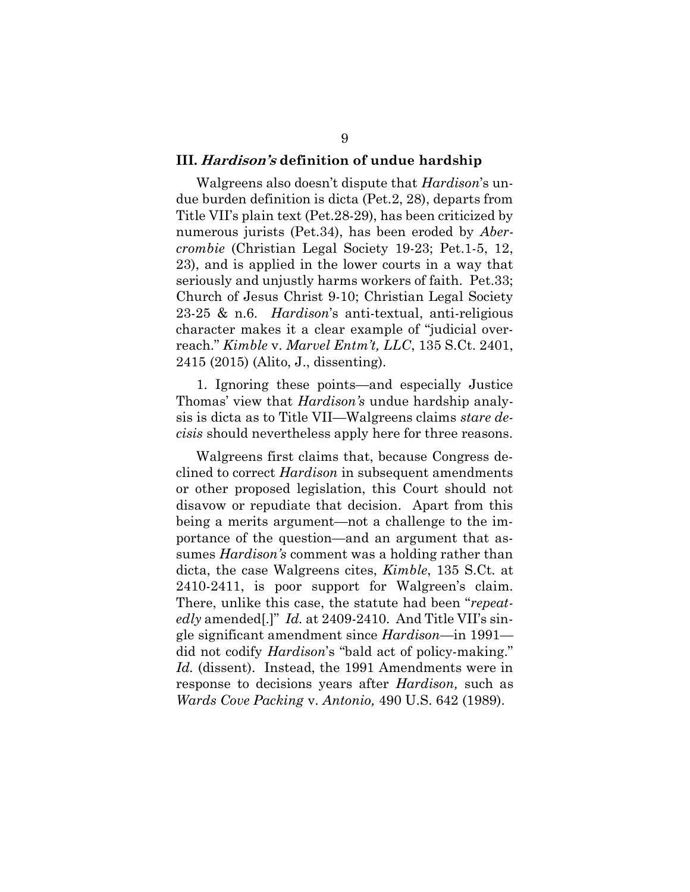### III. Hardison's definition of undue hardship

Walgreens also doesn't dispute that *Hardison*'s undue burden definition is dicta (Pet.2, 28), departs from Title VII's plain text (Pet.28-29), has been criticized by numerous jurists (Pet.34), has been eroded by *Aber*crombie (Christian Legal Society 19-23; Pet.1-5, 12, 23), and is applied in the lower courts in a way that seriously and unjustly harms workers of faith. Pet.33; Church of Jesus Christ 9-10; Christian Legal Society 23-25 & n.6. Hardison's anti-textual, anti-religious character makes it a clear example of "judicial overreach." Kimble v. Marvel Entm't, LLC, 135 S.Ct. 2401, 2415 (2015) (Alito, J., dissenting).

1. Ignoring these points—and especially Justice Thomas' view that *Hardison's* undue hardship analysis is dicta as to Title VII—Walgreens claims stare decisis should nevertheless apply here for three reasons.

Walgreens first claims that, because Congress declined to correct *Hardison* in subsequent amendments or other proposed legislation, this Court should not disavow or repudiate that decision. Apart from this being a merits argument—not a challenge to the importance of the question—and an argument that assumes *Hardison's* comment was a holding rather than dicta, the case Walgreens cites, Kimble, 135 S.Ct. at 2410-2411, is poor support for Walgreen's claim. There, unlike this case, the statute had been "repeatedly amended.]" Id. at 2409-2410. And Title VII's single significant amendment since Hardison—in 1991 did not codify Hardison's "bald act of policy-making." Id. (dissent). Instead, the 1991 Amendments were in response to decisions years after Hardison, such as Wards Cove Packing v. Antonio, 490 U.S. 642 (1989).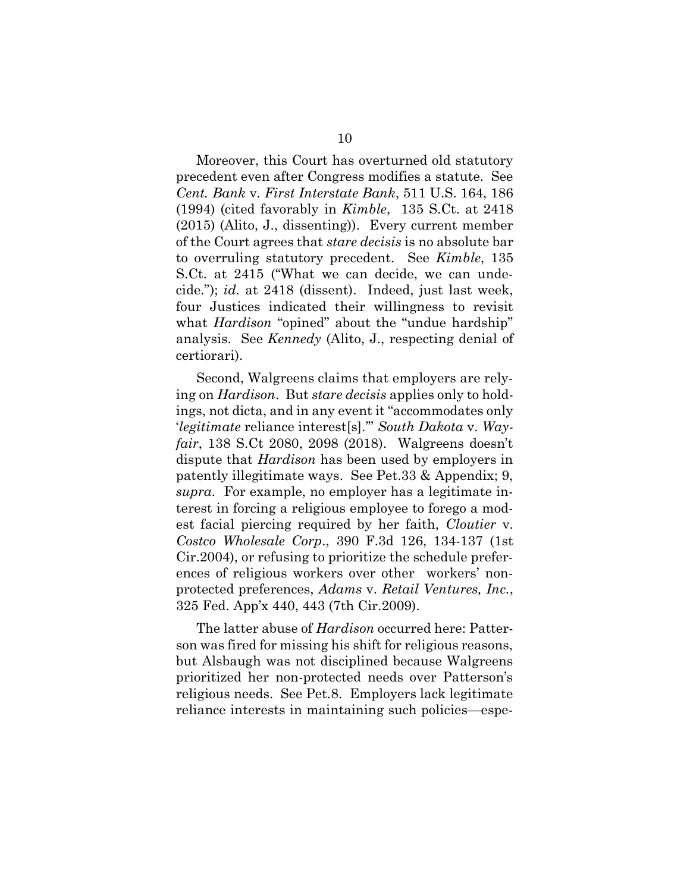Moreover, this Court has overturned old statutory precedent even after Congress modifies a statute. See Cent. Bank v. First Interstate Bank, 511 U.S. 164, 186 (1994) (cited favorably in Kimble, 135 S.Ct. at 2418 (2015) (Alito, J., dissenting)). Every current member of the Court agrees that stare decisis is no absolute bar to overruling statutory precedent. See Kimble, 135 S.Ct. at 2415 ("What we can decide, we can undecide."); id. at 2418 (dissent). Indeed, just last week, four Justices indicated their willingness to revisit what *Hardison* "opined" about the "undue hardship" analysis. See Kennedy (Alito, J., respecting denial of certiorari).

Second, Walgreens claims that employers are relying on Hardison. But stare decisis applies only to holdings, not dicta, and in any event it "accommodates only 'legitimate reliance interest[s].'" South Dakota v. Wayfair, 138 S.Ct 2080, 2098 (2018). Walgreens doesn't dispute that *Hardison* has been used by employers in patently illegitimate ways. See Pet.33 & Appendix; 9, supra. For example, no employer has a legitimate interest in forcing a religious employee to forego a modest facial piercing required by her faith, Cloutier v. Costco Wholesale Corp., 390 F.3d 126, 134-137 (1st Cir.2004), or refusing to prioritize the schedule preferences of religious workers over other workers' nonprotected preferences, Adams v. Retail Ventures, Inc., 325 Fed. App'x 440, 443 (7th Cir.2009).

The latter abuse of *Hardison* occurred here: Patterson was fired for missing his shift for religious reasons, but Alsbaugh was not disciplined because Walgreens prioritized her non-protected needs over Patterson's religious needs. See Pet.8. Employers lack legitimate reliance interests in maintaining such policies—espe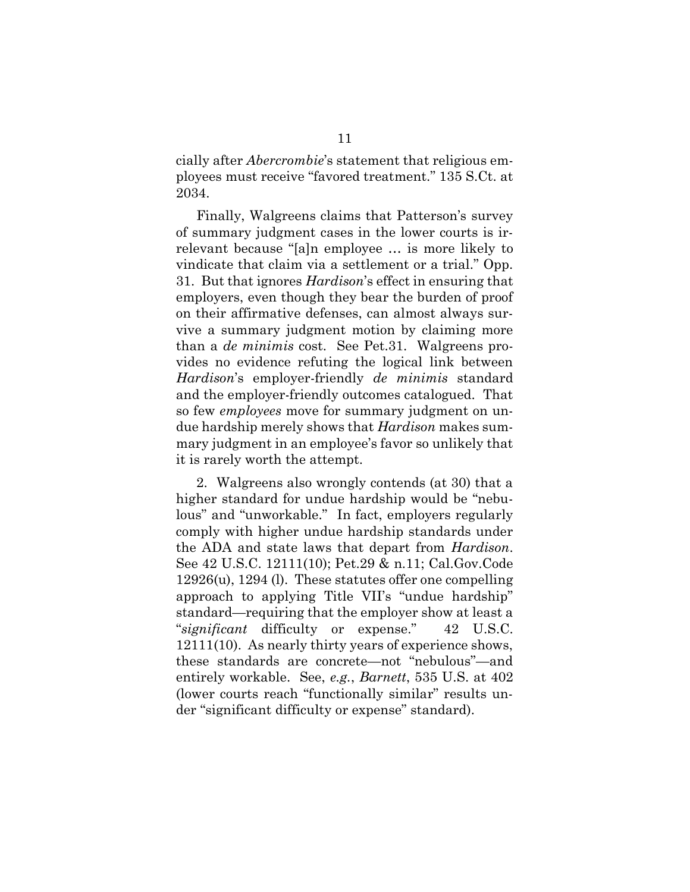cially after Abercrombie's statement that religious employees must receive "favored treatment." 135 S.Ct. at 2034.

Finally, Walgreens claims that Patterson's survey of summary judgment cases in the lower courts is irrelevant because "[a]n employee … is more likely to vindicate that claim via a settlement or a trial." Opp. 31. But that ignores Hardison's effect in ensuring that employers, even though they bear the burden of proof on their affirmative defenses, can almost always survive a summary judgment motion by claiming more than a de minimis cost. See Pet.31. Walgreens provides no evidence refuting the logical link between Hardison's employer-friendly de minimis standard and the employer-friendly outcomes catalogued. That so few *employees* move for summary judgment on undue hardship merely shows that Hardison makes summary judgment in an employee's favor so unlikely that it is rarely worth the attempt.

2. Walgreens also wrongly contends (at 30) that a higher standard for undue hardship would be "nebulous" and "unworkable." In fact, employers regularly comply with higher undue hardship standards under the ADA and state laws that depart from Hardison. See 42 U.S.C. 12111(10); Pet.29 & n.11; Cal.Gov.Code 12926(u), 1294 (l). These statutes offer one compelling approach to applying Title VII's "undue hardship" standard—requiring that the employer show at least a "significant difficulty or expense." 42 U.S.C. 12111(10). As nearly thirty years of experience shows, these standards are concrete—not "nebulous"—and entirely workable. See, e.g., Barnett, 535 U.S. at 402 (lower courts reach "functionally similar" results under "significant difficulty or expense" standard).